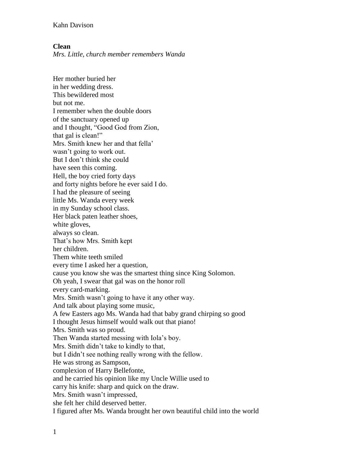Kahn Davison

## **Clean**

*Mrs. Little, church member remembers Wanda*

Her mother buried her in her wedding dress. This bewildered most but not me. I remember when the double doors of the sanctuary opened up and I thought, "Good God from Zion, that gal is clean!" Mrs. Smith knew her and that fella' wasn't going to work out. But I don't think she could have seen this coming. Hell, the boy cried forty days and forty nights before he ever said I do. I had the pleasure of seeing little Ms. Wanda every week in my Sunday school class. Her black paten leather shoes, white gloves, always so clean. That's how Mrs. Smith kept her children. Them white teeth smiled every time I asked her a question, cause you know she was the smartest thing since King Solomon. Oh yeah, I swear that gal was on the honor roll every card-marking. Mrs. Smith wasn't going to have it any other way. And talk about playing some music, A few Easters ago Ms. Wanda had that baby grand chirping so good I thought Jesus himself would walk out that piano! Mrs. Smith was so proud. Then Wanda started messing with Iola's boy. Mrs. Smith didn't take to kindly to that, but I didn't see nothing really wrong with the fellow. He was strong as Sampson, complexion of Harry Bellefonte, and he carried his opinion like my Uncle Willie used to carry his knife: sharp and quick on the draw. Mrs. Smith wasn't impressed, she felt her child deserved better. I figured after Ms. Wanda brought her own beautiful child into the world